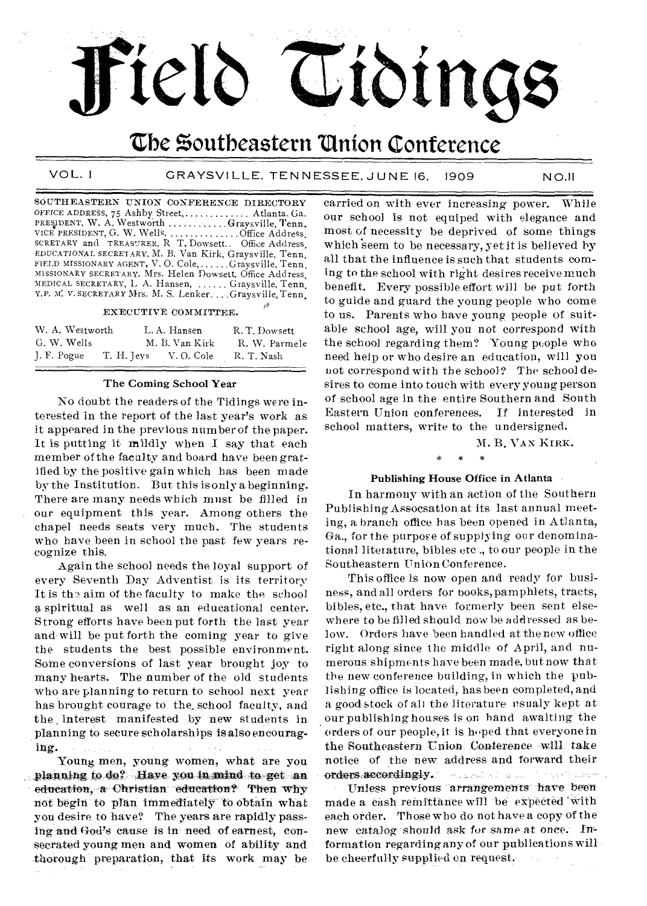## the Southeastern Union Conference

teld Tiding

VOL. I GRAYSVILLE, TENNESSEE, JUNE 16, 1909 NO.11

SOUTHEASTERN UNION CONFERENCE DIRECTORY OFFICE ADDRESS, 75 Ashby Street, ............. Atlanta. Ga. PRESIDENT, W. A. Westworth ...........Graysville, Tenn. VICE PRESIDENT, G. W. Wells, ...............Office Address,<br>SCRETARY and TREASURER, R T. Dowsett.. Office Address,<br>EDUCATIONAL SECRETARY, M. B. Van Kirk, Graysville, Tenn,<br>FIELD MISSIONARY AGENT, V. O. Cole,......Graysvill MISSIONARY SECRETARY, Mrs. Helen Dowsed, Office Address, MEDICAL SECRETARY, L. A. Hansen, ...... Graysville, Tenn. Y.P. M. V. SECRETARY Mrs. M. S. Lenker... Graysville, Tenn,

#### EXECUTIVE COMMITTEE.

| W. A. Westworth | L.A. Hansen           | R. T. Dowsett |
|-----------------|-----------------------|---------------|
| G. W. Wells     | M. B. Van Kirk        | R. W. Parmele |
| J. F. Pogue     | T. H. Jeys V. O. Cole | R. T. Nash    |

#### The Coming School Year

No doubt the readers of the Tidings were interested in the report of the last year's work as it appeared in the previous number of the paper. It is putting it mildly when I say that each member of the faculty and board have been gratified by the positive gain which has been made by the Institution. But this is only a beginning. There are many needs which must be filled in our equipment this year. Among others the chapel needs seats very much. The students who have been in school the past few years recognize this,

Again the school needs the loyal support of every Seventh Day Adventist is its territory It is the aim of the faculty to make the school a spiritual as well as an educational center. Strong efforts have been put forth the last year and,will be put forth the coming year to give the students the best possible environment. Some conversions of last year brought joy to many hearts. The number of the old students who are planning to return to school next year has brought courage to the, school faculty, and the interest manifested by new students in planning to secure scholarships is also encouraging..

Young men, young women, what are you planning to do? Have you in mind to get an education, a Christian education? Then why not begin' to 'plan immediately to Obtain what you desire to have? The years are rapidly passing.and God's cause is in need of earnest, consecrated young men and women of ability and thorough preparation, that its work may be carried on with ever increasing power. While our school is not equiped with elegance and most of necessity be deprived of some things which seem to be necessary, yet it is believed by all that the influence is such that students coming to the school with right desires receive much benefit. Every possible effort will be put forth to guide and guard the young people who come to us. Parents who have young people of suitable school age, will you not correspond with the school regarding them? Young people who need help or who desire an education, will you not correspond with the school? The school desires to come into touch with every young person of school age in the entire Southern and South Eastern Union conferences, If interested in school matters, write to the undersigned.

M. B. VAN KIRK.

#### Publishing House Office in Atlanta

In harmony with an action of the Southern Publishing Assocsation at its last annual meeting, a branch office has been opened in Atlanta, Ga., for the purpose of supplying our denominational literature, bibles etc., to our people in the Southeastern Union Conference.

This office is now open and ready for business, and all orders for books, pamphlets, tracts, bibles, etc., that have formerly been sent elsewhere to be filled should now be addressed as below. Orders have been handled at the new office right along since the middle of April, and numerous shipments have been made, but now that the new conference building, in which the publishing office is located, has been completed, and a good stock of all the literature usualy kept at our publishing houses is on hand awaiting the orders of our people, it is hoped that everyone in the Southeastern Union, Conference will, take notice of the new address and forward their orders.accordingly. Substitution and the series was

Unless previous arrangements have been made a cash remittance will be expected with each order. Those who do net have a copy of the new catalog should ask for same at once. Information regarding any of our publications will be cheerfully supplied en request,.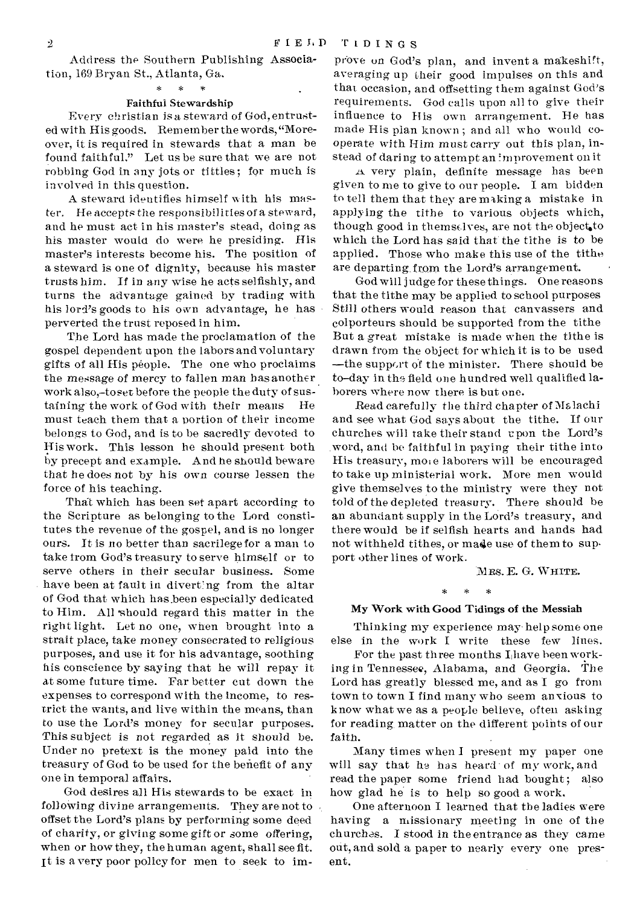Address the Southern Publishing Association, 169 Bryan St., Atlanta, Ga. \* \*

#### Faithful Stewardship

Every christian is a steward of God, entrusted with His goods. Remember the words, "Moreover, it is required in stewards that a man be found faithful," Let us be sure that we are not robbing God in any jots or tittles; for much is involved in this question.

A steward identifies himself with his master. He accepts the responsibilities of a steward, and he must act in his master's stead, doing as his master would do were he presiding. His master's interests become his. The position of a steward is one of dignity, because his master trusts him. If in any wise he acts selfishly, and turns the advantage gained by trading with his lord's goods to his own advantage, he has perverted the trust reposed in him.

The Lord has made the proclamation of the gospel dependent upon the labors and voluntary gifts of all His people. The one who proclaims the message of mercy to fallen man has another work also,-to set before the people the duty of sustaining the work of God with their means He must teach them that a portion of their income belongs to God, and is to be sacredly devoted to His work. This lesson he should present both by precept and example. And he should beware that he does not by his own course lessen the force of his teaching.

That which has been set apart according to the Scripture as belonging to the Lord constitutes the revenue of the gospel, and is no longer ours. It is no better than sacrilege for a man to take from God's treasury to serve himself or to serve others in their secular business. Some have been at fault in diverting from the altar of God that which has been especially dedicated to Him. All 'should regard this matter in the right light. Let no one, when brought into a strait place, take money consecrated to religious purposes, and use it for his advantage, soothing his conscience by saying that he will repay it at some future time. Far better cut down the expenses to correspond with the income, to restrict the wants, and live within the means, than to use the Lord's money for secular purposes. This subject is not regarded as it should be. Under no pretext is the money paid into the treasury of God to be used for the benefit of any one in temporal affairs.

God desires all His stewards to be exact in following divine arrangements. They are not to offset the Lord's plans by performing some deed of charity, or giving some gift or some offering, when or how they, the human agent, shall see fit. It is a very poor policy for men to seek to im-

prove on God's plan, and invent a makeshift, averaging up their good impulses on this and that, occasion, and offsetting them against God's requirements. God calls upon all to give their influence to His own arrangement. Re has made His plan known ; and all who would cooperate with Him must carry out this plan, instead of daring to attempt an improvement on it

*.z&* very plain, definite message has been given to me to give to our people. I am bidden to tell them that they are making a mistake in applying the tithe to various objects which, though good in themselves, are not the object,to which the Lord has said that' the tithe is to be applied. Those who make this use of the tithe are departing,from the Lord's arrangement.

God will judge for these things. One reasons that the tithe may be applied to school purposes Still others would reason that canvassers and colporteurs should be supported from the tithe But a great mistake is made when the tithe is drawn from the object for which it is to be used —the support of the minister. There should be to-day in the field one hundred well qualified laborers where now there is but one.

Read carefully the third chapter of Malachi and see what God says about the tithe. If our churches will take their stand upon the Lord's word, and be faithful in paying their tithe into His treasury, more laborers will be encouraged to take up ministerial work. More men would give themselves to the ministry were they not told of the depleted treasury. There should be an abundant supply in the Lord's treasury, and there would be if selfish hearts and hands had not withheld tithes, or made use of them to support other lines of work.

MRS. E. G. WHITE.

 $*$  \* \*

#### My Work with Good Tidings of the Messiah

Thinking my experience may help some one else in the work I write these few lines.

For the past three months  $I<sub>l</sub>$  have been working in Tennessee, Alabama, and Georgia. The Lord has greatly blessed me, and as I go from town to town I find many who seem anxious to know what we as a people believe, often asking for reading, matter on the different points of our faith.

Many times when I present my paper one will say that he has heard of my work, and read the paper some friend had bought; also how glad he is to help so good a work.

One afternoon I learned that the ladies were having a missionary meeting in one of the churchas. I stood in the entrance as they came out, and sold a paper to nearly every one present.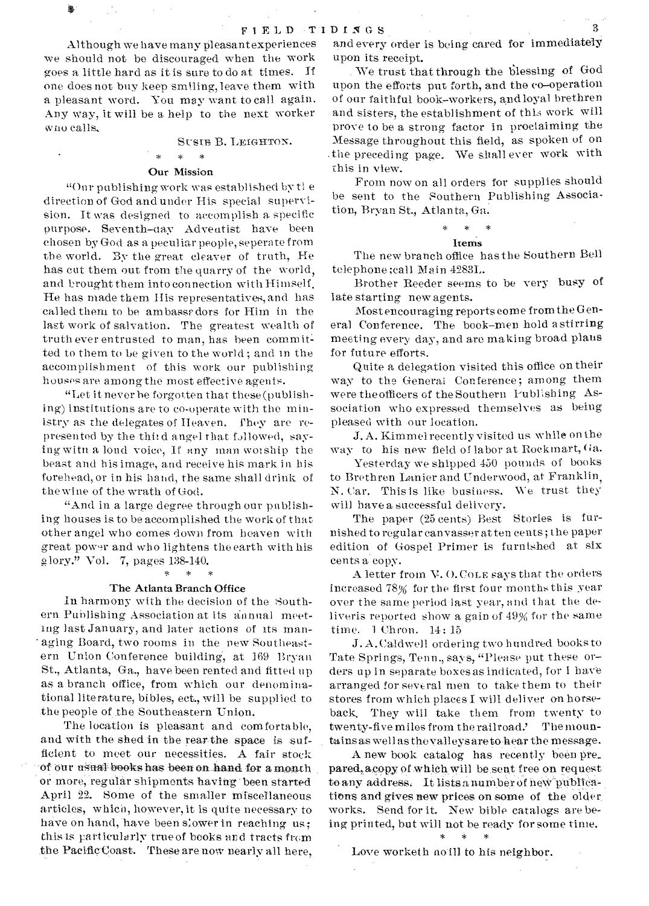Although we have many pleasant experiences we should not be discouraged when the work goes a little hard as it is sure to do at times. If one does not buy keep smiling, leave them with a pleasant word. You may want to call again. Any way, it will be a help to the next worker who calls.

# SUSIE B. LEIGHTON.<br>\* \* \*

#### Our Mission

"Our publishing work was established by tle direction of God and under His special supervision. It was designed to accomplish a specific purpose. Seventh-day Adventist have been chosen by God as a peculiar people, seperate from the world. By the great cleaver of truth, He has cut them out from the quarry of the world, and brought them into connection with Himself. He has made them Ills representatives, and has called them to be ambasssdors for Him in the last work of salvation. The greatest wealth of truth ever entrusted to man, has been commit ted to them to be given to the world ; and in the accomplishment of this work our publishing houses are among the most effective agents.

"Let it never be forgotten that these (publishing) institutions are to co-operate with the ministry as the delegates of Heaven. They are represented by the third angel that followed, saying witn a loud voice, It any man worship the beast and his image, and receive his mark in his forehead, or in his hand, the same shall drink of the wine of the wrath of God.

"And in a large degree through our publishing houses is to be accomplished the work of that other angel who comes down from heaven with great power and who lightens the earth with his glory." Vol. 7, pages  $138-140$ .

#### The Atlanta Branch Office

In harmony with the decision of the Southern Publishing Association at its annual meeting last January, and later actions of its man- ' aging Board, two rooms in the new Southeastern Union Conference building, at 169 Bryan St., Atlanta, Ga., have been rented and fitted up as a branch office, from which our denominational literature, bibles, ect., will be supplied to the people of the Southeastern Union.

The location is pleasant and comfortable, and with the shed in the rear the space is sufficient to meet our necessities. A fair stock of our usual books has been on hand for a month or more, regular shipments having been started April 22. Some of the smaller miscellaneous articles, which, however, it is quite necessary to have on hand, have been slower in reaching us; this is particularly true of hooks and tracts from the PacificGoast. These are now nearly all here,

and every order is being cared for immediately upon its receipt.

. We trust that through the blessing of God upon the efforts put forth, and the co-operation of our faithful book-workers, and loyal brethren and sisters, the establishment of this work will prove to be a strong factor in proclaiming the Message throughout this field, as spoken of on the preceding page. We shall ever work with this in view.

From now on all orders for supplies should be sent to the Southern Publishing Association, Bryan St.., Atlanta, Ga. \* \* \*

### Items

The new branch office has the Southern Bell telephone ;call Main 4283L.

Brother Reeder seems to be very busy of late starting new agents.

Most encouraging reports come from the General Conference. The book-men hold a stirring meeting every day, and are making broad plans for future efforts.

Quite a delegation visited this office on their way to the General Conference; among them were the officers of the Southern Publishing Association who expressed themselves as being pleased with our location.

J. A. Kimmel recently visited us while on the way to his new field of labor at Rockmart, Ga.

Yesterday we shipped 450 pounds of books to Brethren Lanier and Underwood, at Franklin, N. Car. This is like business. We trust they will have a successful delivery.

The paper (25 cents) Best Stories is furnished to regular canvasser at ten cents; the paper edition of Gospel Primer is furnished at six cents a copy.

A letter from V.O. COLE says that the orders increased 78% for the first four months this year over the same period last year, and that the deliveris reported show a gain of 49% for the same time. 1 Chron. 14: 15

J. A. Caldwell ordering two hundred books to Tate Springs, Tenn., says, "Please put these orders up in separate boxes as indicated, for I have arranged for several men to take them to their stores from which places I will deliver on horseback. They will take them from twenty to twenty-five miles from the railroad.' The mountains as well as the valleys are to hear the message.

A new book catalog has recently been pre\_ pared, acopy of which will be seat free on request to any address. It lists a number of new publications and gives new prices on some of the older. works. Send for it. New bible catalogs are being printed, but will not he ready for some time.

\* \*

Love worketh no ill to his neighbor.